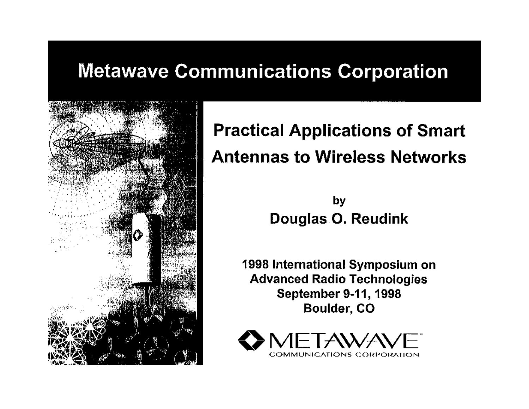#### **Metawave Communications Corporation**



#### **Practical Applications of Smart Antennas to Wireless Networks**

by Douglas O. Reudink

1998 International Symposium on **Advanced Radio Technologies** September 9-11, 1998 **Boulder, CO** 

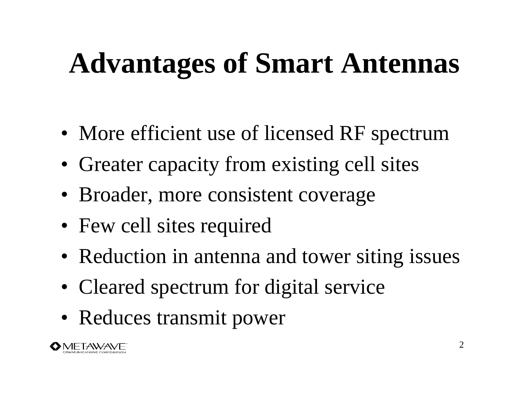# **Advantages of Smart Antennas**

- More efficient use of licensed RF spectrum
- Greater capacity from existing cell sites
- Broader, more consistent coverage
- Few cell sites required
- Reduction in antenna and tower siting issues
- Cleared spectrum for digital service
- Reduces transmit power

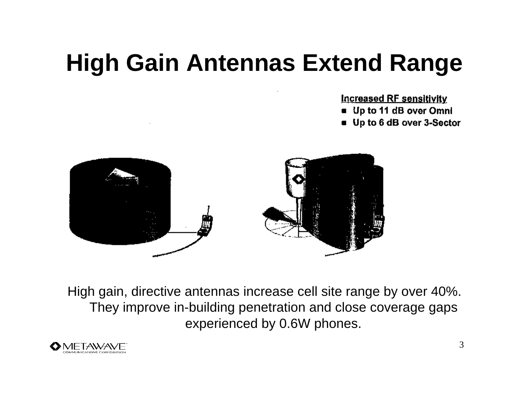# **High Gain Antennas Extend Range**

**Increased RF sensitivity** 

- Up to 11 dB over Omni
- Up to 6 dB over 3-Sector



High gain, directive antennas increase cell site range by over 40%. They improve in-building penetration and close coverage gaps experienced by 0.6W phones.

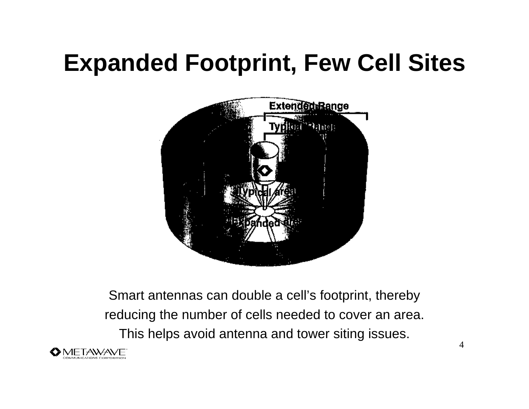# **Expanded Footprint, Few Cell Sites**



Smart antennas can double a cell's footprint, thereby reducing the number of cells needed to cover an area. This helps avoid antenna and tower siting issues.

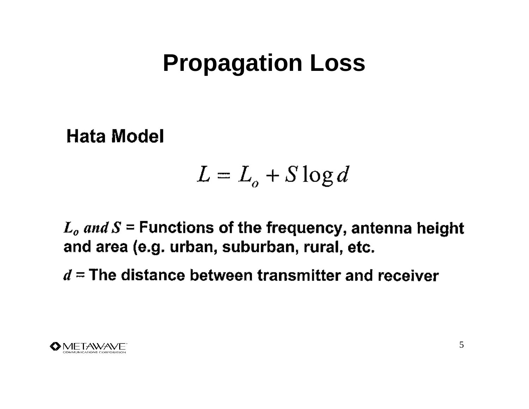# **Propagation Loss**

**Hata Model** 

$$
L = L_o + S \log d
$$

 $L_o$  and  $S$  = Functions of the frequency, antenna height and area (e.g. urban, suburban, rural, etc.

 $d =$ The distance between transmitter and receiver

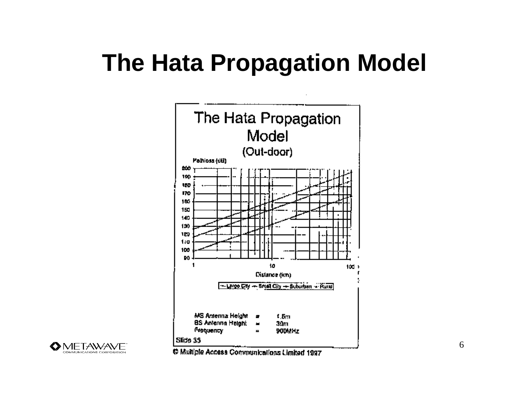# **The Hata Propagation Model**





C Multiple Access Communications Limited 1997

6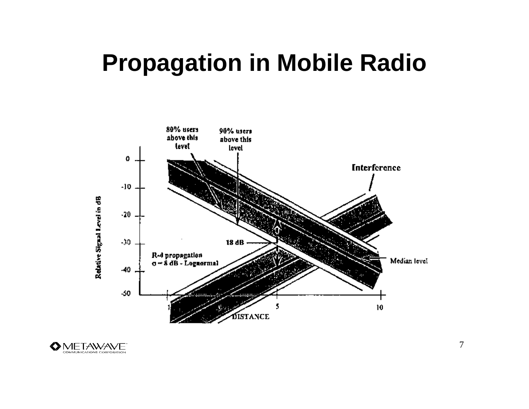## **Propagation in Mobile Radio**



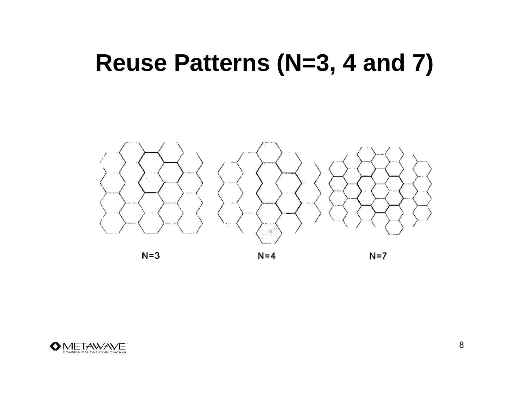## **Reuse Patterns (N=3, 4 and 7)**



 $N=3$ 

 $N=4$ 

 $N=7$ 

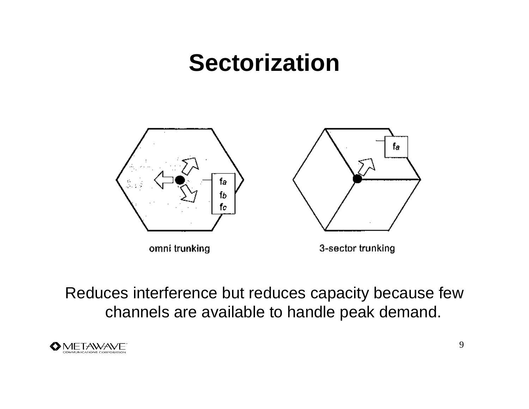## **Sectorization**



omni trunking

3-sector trunking

Reduces interference but reduces capacity because few channels are available to handle peak demand.

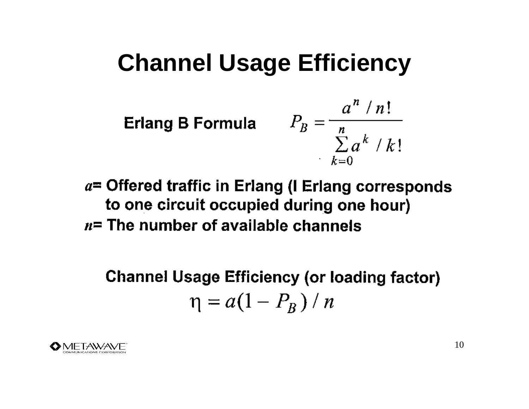## **Channel Usage Efficiency**

**Erlang B Formula** 
$$
P_B = \frac{a^n / n!}{\sum_{k=0}^n a^k / k!}
$$

 $a$ = Offered traffic in Erlang (I Erlang corresponds to one circuit occupied during one hour)  $n=$  The number of available channels

**Channel Usage Efficiency (or loading factor)**  $\eta = a(1 - P_R)/n$ 

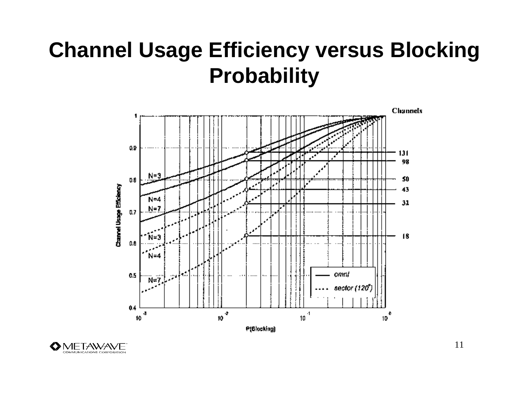#### **Channel Usage Efficiency versus Blocking Probability**





11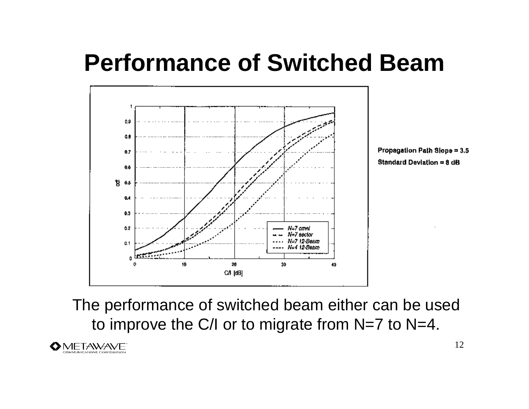## **Performance of Switched Beam**



The performance of switched beam either can be used to improve the C/I or to migrate from N=7 to N=4.

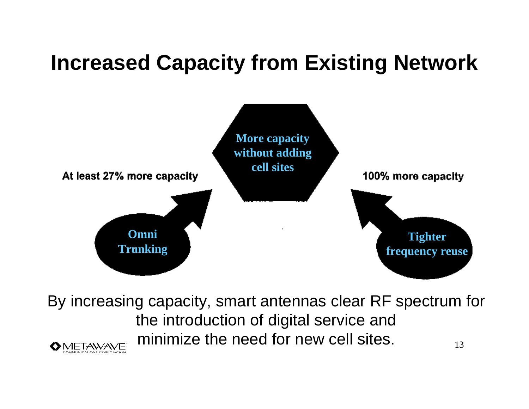## **Increased Capacity from Existing Network**



By increasing capacity, smart antennas clear RF spectrum for the introduction of digital service and minimize the need for new cell sites. 13 **METAWAVE**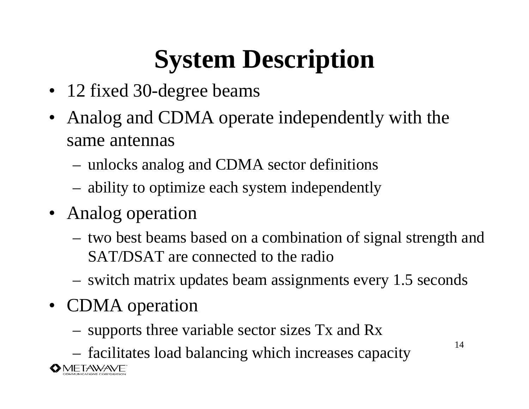# **System Description**

- 12 fixed 30-degree beams
- Analog and CDMA operate independently with the same antennas
	- unlocks analog and CDMA sector definitions
	- ability to optimize each system independently
- Analog operation
	- two best beams based on a combination of signal strength and SAT/DSAT are connected to the radio
	- switch matrix updates beam assignments every 1.5 seconds
- **CDMA** operation
	- supports three variable sector sizes Tx and Rx
	- facilitates load balancing which increases capacity

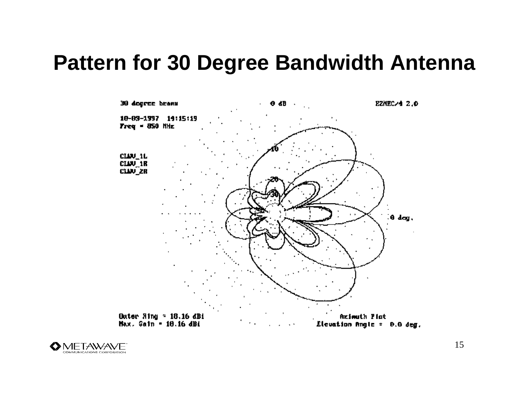#### **Pattern for 30 Degree Bandwidth Antenna**



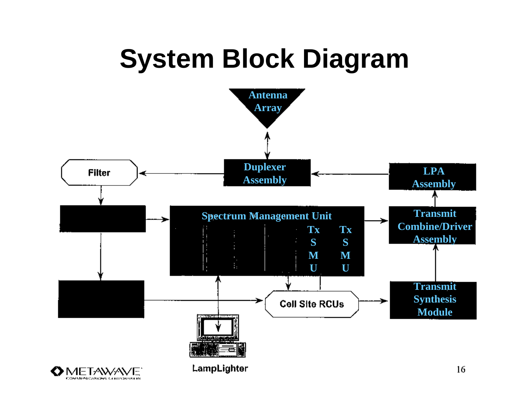# **System Block Diagram**

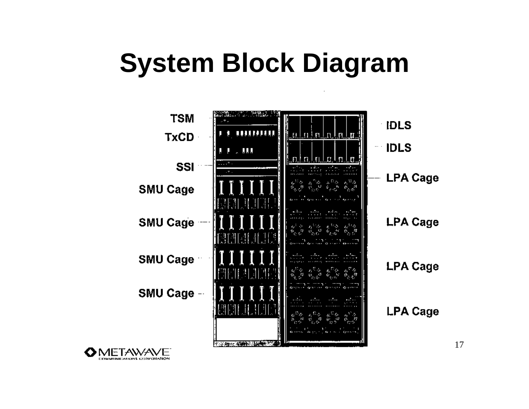# **System Block Diagram**



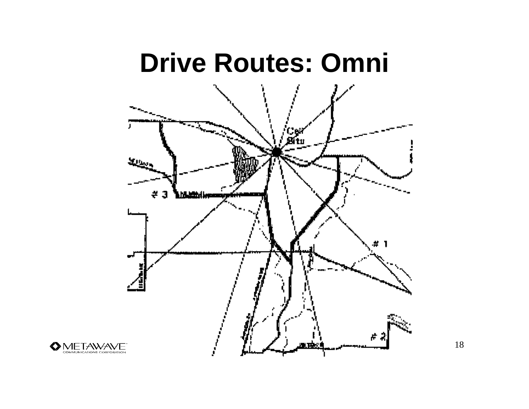# **Drive Routes: Omni**على بين  $#3$ 机螺旋体 ÷. п

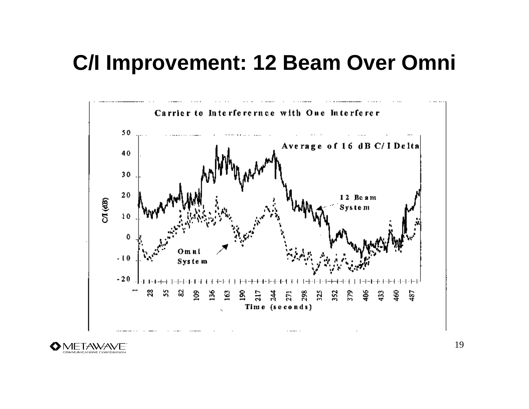#### **C/I Improvement: 12 Beam Over Omni**





19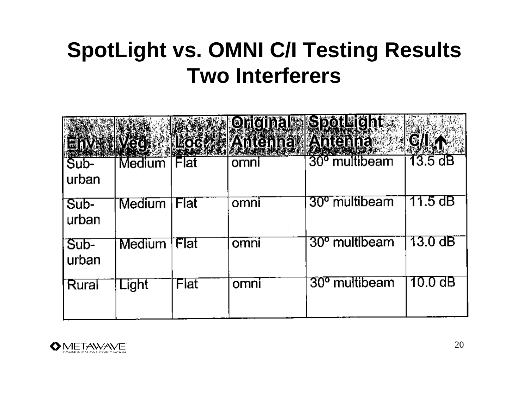## **SpotLight vs. OMNI C/I Testing Results Two Interferers**

|               | <b>MEN IVECT</b>    | <b>EXAMELOGENES</b> | <b>Antenna Antenna</b> | Original SpotLight        | CILAN     |
|---------------|---------------------|---------------------|------------------------|---------------------------|-----------|
| Sub-<br>urban | Medium <sup>®</sup> | Flat                | omni                   | 30 <sup>°</sup> multibeam | 13.5dB    |
| Sub-<br>urban | Medium              | Flat                | omni                   | 30 <sup>o</sup> multibeam | 11.5 dB   |
| Sub-<br>urban | <b>Medium</b>       | Flat                | omni                   | 30 <sup>o</sup> multibeam | 13.0 dB   |
| Rural         | Light               | Flat                | omni                   | 30 <sup>o</sup> multibeam | $10.0$ dB |

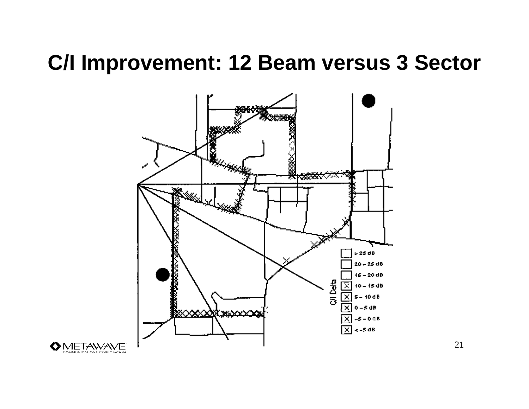#### **C/I Improvement: 12 Beam versus 3 Sector**



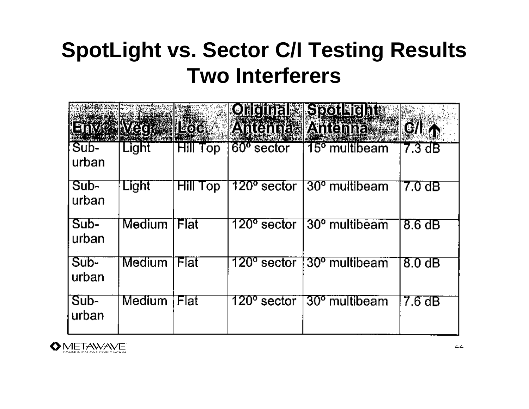## **SpotLight vs. Sector C/I Testing Results Two Interferers**

|                 | var inværets  | $\blacksquare$ $\blacksquare$ $\lozenge$ $\lozenge$ $\lozenge$ $\lozenge$ |                         | <b>Chemal SpotMeint</b><br>Antenna Antenna a | CIRA               |
|-----------------|---------------|---------------------------------------------------------------------------|-------------------------|----------------------------------------------|--------------------|
| Sub-<br>urban   | Light         | <b>Hill Top</b>                                                           | $60o$ sector            | 15 <sup>°</sup> multibeam                    | 7.3dB              |
| Sub-<br>urban   | Light         | <b>Hill</b><br>Top                                                        | 120° sector             | 30 <sup>°</sup> multibeam                    | $7.0\ \mathrm{dB}$ |
| $Sub-$<br>urban | <b>Medium</b> | Flat                                                                      | $120^{\circ}$ sector    | 30 <sup>°</sup> multibeam                    | $8.6\ \mathrm{dB}$ |
| Sub-<br>urban   | Medium        | Flat                                                                      | 120º sector             | 30º multibeam                                | $8.0 \text{ dB}$   |
| $Sub-$<br>urban | Medium        | Flat                                                                      | 120 <sup>°</sup> sector | 30 <sup>o</sup> multibeam                    | 7.6 dB             |

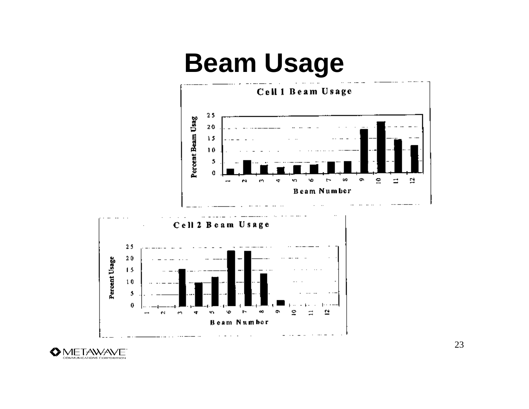# **Beam Usage**





23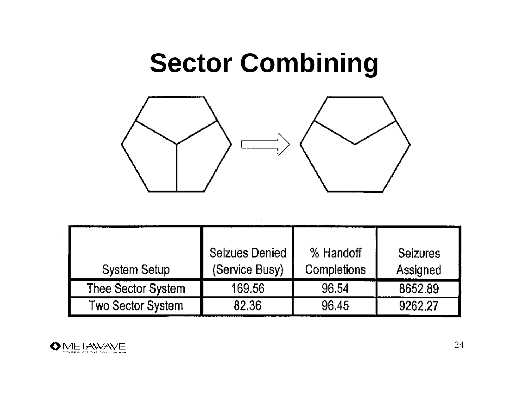# **Sector Combining**



| <b>System Setup</b>      | Seizues Denied<br>(Service Busy) | % Handoff<br><b>Completions</b> | <b>Seizures</b><br>Assigned |
|--------------------------|----------------------------------|---------------------------------|-----------------------------|
| Thee Sector System       | 169.56                           | 96.54                           | 8652.89                     |
| <b>Two Sector System</b> | 82.36                            | 96.45                           | 9262.27                     |

 $\cdot$ 



 $\sim$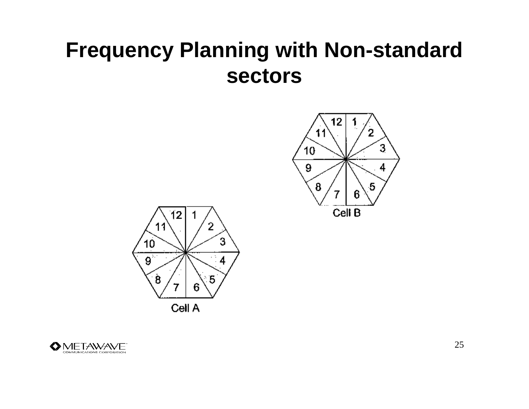#### **Frequency Planning with Non-standard sectors**







25